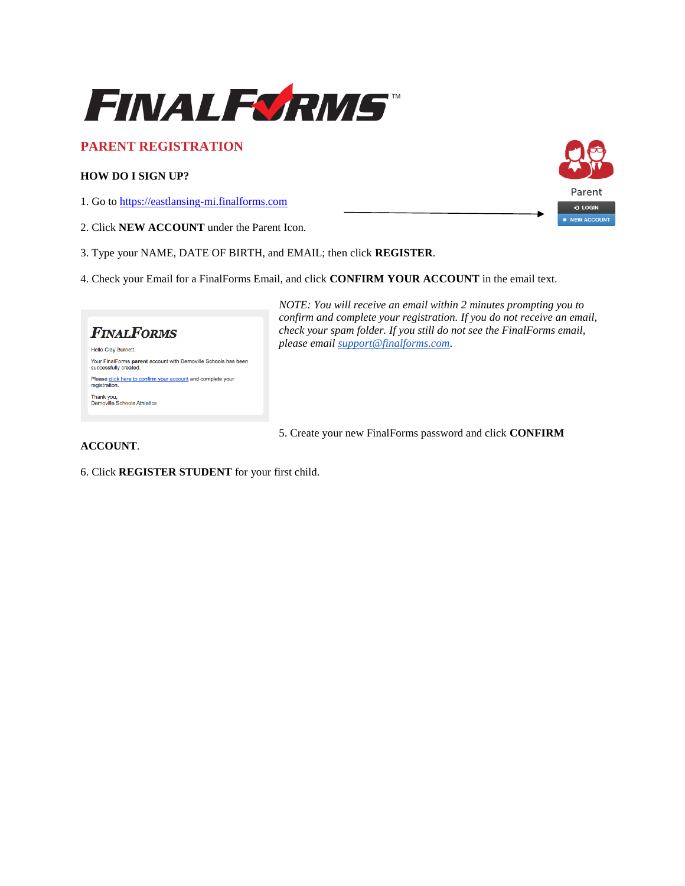

## **PARENT REGISTRATION**

### **HOW DO I SIGN UP?**

1. Go to [https://eastlansing-mi.finalforms.com](https://eastlansing-mi.finalforms.com/)

- 2. Click **NEW ACCOUNT** under the Parent Icon.
- 3. Type your NAME, DATE OF BIRTH, and EMAIL; then click **REGISTER**.
- 4. Check your Email for a FinalForms Email, and click **CONFIRM YOUR ACCOUNT** in the email text.

# **FINALFORMS**

Hello Clay Burnett, Your FinalForms parent account with Demoville Schools has been<br>successfully created. Please click here to confirm your account and complete your registration. Thank you,<br>Demoville Schools Athletics

*NOTE: You will receive an email within 2 minutes prompting you to confirm and complete your registration. If you do not receive an email, check your spam folder. If you still do not see the FinalForms email, please email [support@finalforms.com](mailto:support@finalforms.com)*.

5. Create your new FinalForms password and click **CONFIRM** 

### **ACCOUNT**.

6. Click **REGISTER STUDENT** for your first child.